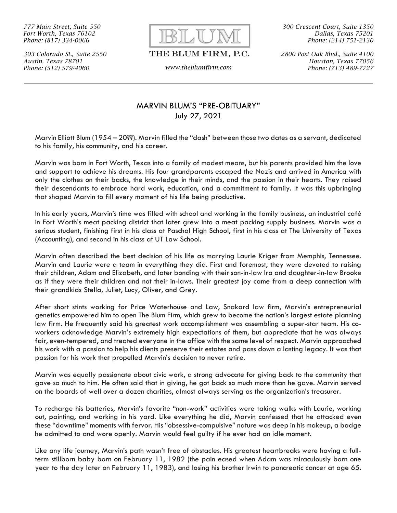777 Main Street, Suite 550 Fort Worth, Texas 76102 Phone: (817) 334-0066

303 Colorado St., Suite 2550 Austin, Texas 78701 Phone: (512) 579-4060 www.theblumfirm.com



## THE BLUM FIRM, P.C.

300 Crescent Court, Suite 1350 Dallas, Texas 75201 Phone: (214) 751-2130

2800 Post Oak Blvd., Suite 4100 Houston, Texas 77056 Phone: (713) 489-7727

## MARVIN BLUM'S "PRE-OBITUARY" July 27, 2021

Marvin Elliott Blum (1954 – 20??). Marvin filled the "dash" between those two dates as a servant, dedicated to his family, his community, and his career.

Marvin was born in Fort Worth, Texas into a family of modest means, but his parents provided him the love and support to achieve his dreams. His four grandparents escaped the Nazis and arrived in America with only the clothes on their backs, the knowledge in their minds, and the passion in their hearts. They raised their descendants to embrace hard work, education, and a commitment to family. It was this upbringing that shaped Marvin to fill every moment of his life being productive.

In his early years, Marvin's time was filled with school and working in the family business, an industrial café in Fort Worth's meat packing district that later grew into a meat packing supply business. Marvin was a serious student, finishing first in his class at Paschal High School, first in his class at The University of Texas (Accounting), and second in his class at UT Law School.

Marvin often described the best decision of his life as marrying Laurie Kriger from Memphis, Tennessee. Marvin and Laurie were a team in everything they did. First and foremost, they were devoted to raising their children, Adam and Elizabeth, and later bonding with their son-in-law Ira and daughter-in-law Brooke as if they were their children and not their in-laws. Their greatest joy came from a deep connection with their grandkids Stella, Juliet, Lucy, Oliver, and Grey.

After short stints working for Price Waterhouse and Law, Snakard law firm, Marvin's entrepreneurial genetics empowered him to open The Blum Firm, which grew to become the nation's largest estate planning law firm. He frequently said his greatest work accomplishment was assembling a super-star team. His coworkers acknowledge Marvin's extremely high expectations of them, but appreciate that he was always fair, even-tempered, and treated everyone in the office with the same level of respect. Marvin approached his work with a passion to help his clients preserve their estates and pass down a lasting legacy. It was that passion for his work that propelled Marvin's decision to never retire.

Marvin was equally passionate about civic work, a strong advocate for giving back to the community that gave so much to him. He often said that in giving, he got back so much more than he gave. Marvin served on the boards of well over a dozen charities, almost always serving as the organization's treasurer.

To recharge his batteries, Marvin's favorite "non-work" activities were taking walks with Laurie, working out, painting, and working in his yard. Like everything he did, Marvin confessed that he attacked even these "downtime" moments with fervor. His "obsessive-compulsive" nature was deep in his makeup, a badge he admitted to and wore openly. Marvin would feel guilty if he ever had an idle moment.

Like any life journey, Marvin's path wasn't free of obstacles. His greatest heartbreaks were having a fullterm stillborn baby born on February 11, 1982 (the pain eased when Adam was miraculously born one year to the day later on February 11, 1983), and losing his brother Irwin to pancreatic cancer at age 65.